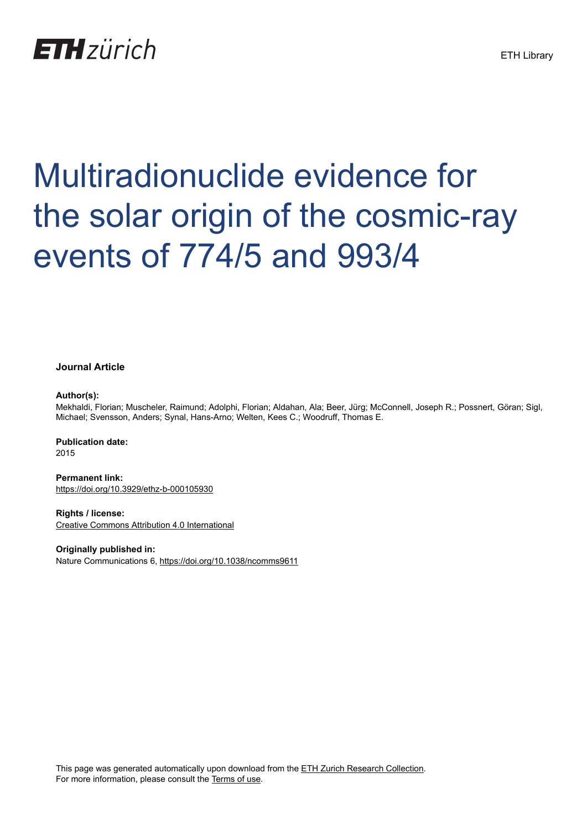## **ETH**zürich

# Multiradionuclide evidence for the solar origin of the cosmic-ray events of 774/5 and 993/4

#### **Journal Article**

#### **Author(s):**

Mekhaldi, Florian; Muscheler, Raimund; Adolphi, Florian; Aldahan, Ala; Beer, Jürg; McConnell, Joseph R.; Possnert, Göran; Sigl, Michael; Svensson, Anders; Synal, Hans-Arno; Welten, Kees C.; Woodruff, Thomas E.

**Publication date:** 2015

**Permanent link:** <https://doi.org/10.3929/ethz-b-000105930>

**Rights / license:** [Creative Commons Attribution 4.0 International](http://creativecommons.org/licenses/by/4.0/)

**Originally published in:** Nature Communications 6,<https://doi.org/10.1038/ncomms9611>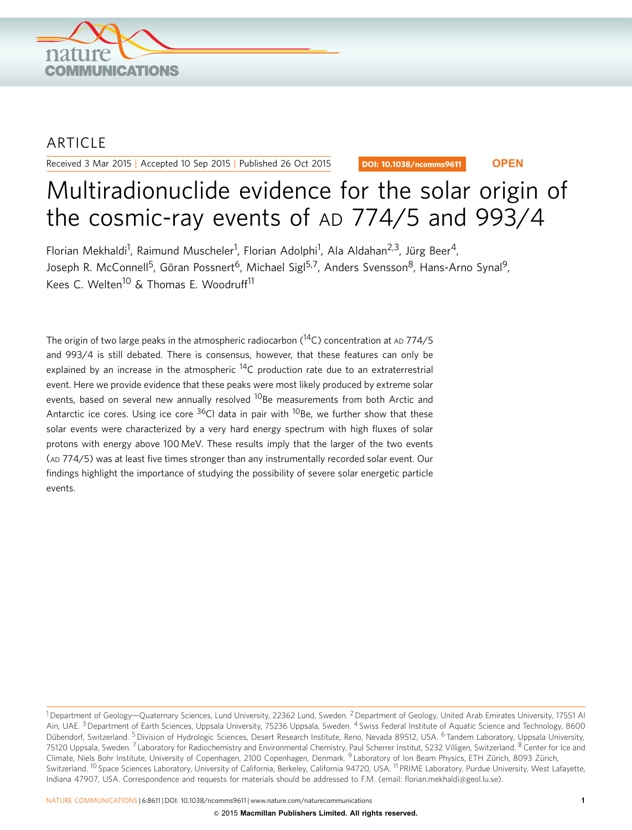

### ARTICLE

Received 3 Mar 2015 | Accepted 10 Sep 2015 | Published 26 Oct 2015

DOI: 10.1038/ncomms9611 **OPEN**

## Multiradionuclide evidence for the solar origin of the cosmic-ray events of AD 774/5 and 993/4

Florian Mekhaldi<sup>1</sup>, Raimund Muscheler<sup>1</sup>, Florian Adolphi<sup>1</sup>, Ala Aldahan<sup>2,3</sup>, Jürg Beer<sup>4</sup>, Joseph R. McConnell<sup>5</sup>, Göran Possnert<sup>6</sup>, Michael Sigl<sup>5,7</sup>, Anders Svensson<sup>8</sup>, Hans-Arno Synal<sup>9</sup>, Kees C. Welten<sup>10</sup> & Thomas E. Woodruff<sup>11</sup>

The origin of two large peaks in the atmospheric radiocarbon  $(^{14}C)$  concentration at AD 774/5 and 993/4 is still debated. There is consensus, however, that these features can only be explained by an increase in the atmospheric  $^{14}$ C production rate due to an extraterrestrial event. Here we provide evidence that these peaks were most likely produced by extreme solar events, based on several new annually resolved <sup>10</sup>Be measurements from both Arctic and Antarctic ice cores. Using ice core  $36C1$  data in pair with  $10B$ e, we further show that these solar events were characterized by a very hard energy spectrum with high fluxes of solar protons with energy above 100 MeV. These results imply that the larger of the two events (AD 774/5) was at least five times stronger than any instrumentally recorded solar event. Our findings highlight the importance of studying the possibility of severe solar energetic particle events.

<sup>&</sup>lt;sup>1</sup> Department of Geology—Quaternary Sciences, Lund University, 22362 Lund, Sweden. <sup>2</sup> Department of Geology, United Arab Emirates University, 17551 Al Ain, UAE.<sup>3</sup> Department of Earth Sciences, Uppsala University, 75236 Uppsala, Sweden. <sup>4</sup> Swiss Federal Institute of Aquatic Science and Technology, 8600 Dübendorf, Switzerland. <sup>5</sup> Division of Hydrologic Sciences, Desert Research Institute, Reno, Nevada 89512, USA. <sup>6</sup> Tandem Laboratory, Uppsala University, 75120 Uppsala, Sweden. <sup>7</sup> Laboratory for Radiochemistry and Environmental Chemistry, Paul Scherrer Institut, 5232 Villigen, Switzerland. <sup>8</sup> Center for Ice and Climate, Niels Bohr Institute, University of Copenhagen, 2100 Copenhagen, Denmark. <sup>9</sup> Laboratory of Ion Beam Physics, ETH Zürich, 8093 Zürich, Switzerland. <sup>10</sup> Space Sciences Laboratory, University of California, Berkeley, California 94720, USA. <sup>11</sup> PRIME Laboratory, Purdue University, West Lafayette, Indiana 47907, USA. Correspondence and requests for materials should be addressed to F.M. (email: [florian.mekhaldi@geol.lu.se](mailto:florian.mekhaldi@geol.lu.se)).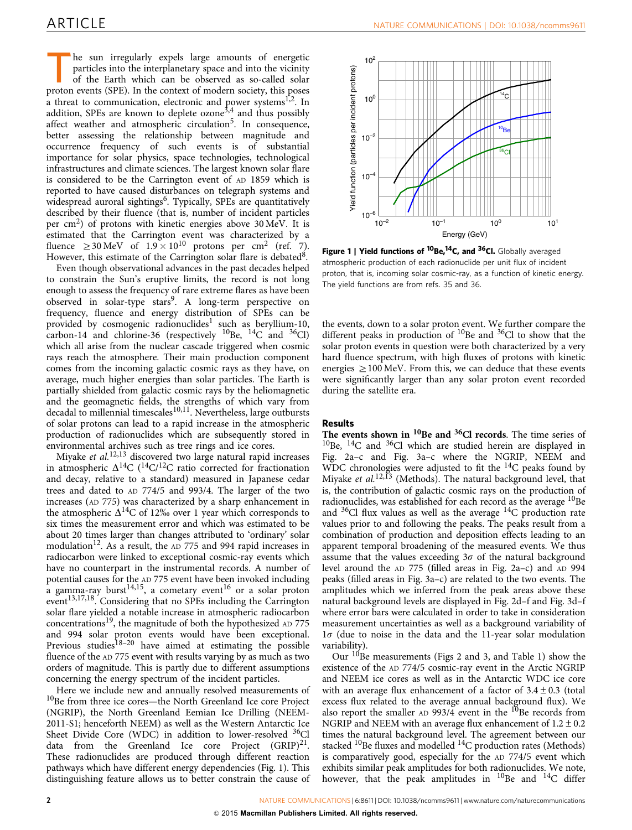<span id="page-2-0"></span>he sun irregularly expels large amounts of energetic particles into the interplanetary space and into the vicinity of the Earth which can be observed as so-called solar proton events (SPE). In the context of modern society, this poses a threat to communication, electronic and power systems<sup>1,2</sup>. In addition, SPEs are known to deplete  $\alpha$  and thus possibly affect weather and atmospheric circulation<sup>[5](#page-7-0)</sup>. In consequence, better assessing the relationship between magnitude and occurrence frequency of such events is of substantial importance for solar physics, space technologies, technological infrastructures and climate sciences. The largest known solar flare is considered to be the Carrington event of AD 1859 which is reported to have caused disturbances on telegraph systems and widespread auroral sightings<sup>[6](#page-7-0)</sup>. Typically, SPEs are quantitatively described by their fluence (that is, number of incident particles per  $\text{cm}^2$ ) of protons with kinetic energies above 30 MeV. It is estimated that the Carrington event was characterized by a fluence  $\geq 30 \,\text{MeV}$  of  $1.9 \times 10^{10}$  protons per cm<sup>2</sup> ([ref. 7](#page-7-0)). However, this estimate of the Carrington solar flare is debated<sup>[8](#page-7-0)</sup>.

Even though observational advances in the past decades helped to constrain the Sun's eruptive limits, the record is not long enough to assess the frequency of rare extreme flares as have been observed in solar-type stars<sup>9</sup>. A long-term perspective on frequency, fluence and energy distribution of SPEs can be provided by cosmogenic radionuclides<sup>[1](#page-7-0)</sup> such as beryllium-10, carbon-14 and chlorine-36 (respectively  $^{10}$ Be,  $^{14}$ C and  $^{36}$ Cl) which all arise from the nuclear cascade triggered when cosmic rays reach the atmosphere. Their main production component comes from the incoming galactic cosmic rays as they have, on average, much higher energies than solar particles. The Earth is partially shielded from galactic cosmic rays by the heliomagnetic and the geomagnetic fields, the strengths of which vary from  $\frac{d}{dt}$  decadal to millennial timescales $10,11$ . Nevertheless, large outbursts of solar protons can lead to a rapid increase in the atmospheric production of radionuclides which are subsequently stored in environmental archives such as tree rings and ice cores.

Miyake et al.<sup>[12,13](#page-7-0)</sup> discovered two large natural rapid increases in atmospheric  $\Delta^{14}C$  ( $^{14}C/^{12}C$  ratio corrected for fractionation and decay, relative to a standard) measured in Japanese cedar trees and dated to AD 774/5 and 993/4. The larger of the two increases (AD 775) was characterized by a sharp enhancement in the atmospheric  $\Delta^{14}$ C of 12% over 1 year which corresponds to six times the measurement error and which was estimated to be about 20 times larger than changes attributed to 'ordinary' solar modulation<sup>12</sup>. As a result, the  $AD$  775 and 994 rapid increases in radiocarbon were linked to exceptional cosmic-ray events which have no counterpart in the instrumental records. A number of potential causes for the AD 775 event have been invoked including a gamma-ray burst<sup>14,15</sup>, a cometary event<sup>16</sup> or a solar proton event<sup>13,17,18</sup>. Considering that no SPEs including the Carrington solar flare yielded a notable increase in atmospheric radiocarbon concentrations[19,](#page-7-0) the magnitude of both the hypothesized AD 775 and 994 solar proton events would have been exceptional. Previous studies<sup>18–20</sup> have aimed at estimating the possible fluence of the AD 775 event with results varying by as much as two orders of magnitude. This is partly due to different assumptions concerning the energy spectrum of the incident particles.

Here we include new and annually resolved measurements of  $10Be$  from three ice cores—the North Greenland Ice core Project (NGRIP), the North Greenland Eemian Ice Drilling (NEEM-2011-S1; henceforth NEEM) as well as the Western Antarctic Ice Sheet Divide Core (WDC) in addition to lower-resolved <sup>36</sup>Cl data from the Greenland Ice core Project  $(GRIP)^{21}$ . These radionuclides are produced through different reaction pathways which have different energy dependencies (Fig. 1). This distinguishing feature allows us to better constrain the cause of



Figure 1 | Yield functions of <sup>10</sup>Be,<sup>14</sup>C, and <sup>36</sup>Cl. Globally averaged atmospheric production of each radionuclide per unit flux of incident proton, that is, incoming solar cosmic-ray, as a function of kinetic energy. The yield functions are from [refs. 35 and 36](#page-8-0).

the events, down to a solar proton event. We further compare the different peaks in production of  $^{10}$ Be and  $^{36}$ Cl to show that the solar proton events in question were both characterized by a very hard fluence spectrum, with high fluxes of protons with kinetic energies  $\geq 100$  MeV. From this, we can deduce that these events were significantly larger than any solar proton event recorded during the satellite era.

#### Results

The events shown in  $^{10}$ Be and  $^{36}$ Cl records. The time series of 10Be, 14C and 36Cl which are studied herein are displayed in [Fig. 2a–c](#page-3-0) and [Fig. 3a–c](#page-4-0) where the NGRIP, NEEM and WDC chronologies were adjusted to fit the <sup>14</sup>C peaks found by Miyake et al.<sup>[12,13](#page-7-0)</sup> (Methods). The natural background level, that is, the contribution of galactic cosmic rays on the production of radionuclides, was established for each record as the average <sup>10</sup>Be and  $36$ Cl flux values as well as the average  $14$ C production rate values prior to and following the peaks. The peaks result from a combination of production and deposition effects leading to an apparent temporal broadening of the measured events. We thus assume that the values exceeding  $3\sigma$  of the natural background level around the AD 775 (filled areas in [Fig. 2a–c](#page-3-0)) and AD 994 peaks (filled areas in [Fig. 3a–c](#page-4-0)) are related to the two events. The amplitudes which we inferred from the peak areas above these natural background levels are displayed in [Fig. 2d–f](#page-3-0) and [Fig. 3d–f](#page-4-0) where error bars were calculated in order to take in consideration measurement uncertainties as well as a background variability of  $1\sigma$  (due to noise in the data and the 11-year solar modulation variability).

Our  $10B$ e measurements [\(Figs 2 and 3,](#page-3-0) and [Table 1\)](#page-4-0) show the existence of the AD 774/5 cosmic-ray event in the Arctic NGRIP and NEEM ice cores as well as in the Antarctic WDC ice core with an average flux enhancement of a factor of  $3.4 \pm 0.3$  (total excess flux related to the average annual background flux). We also report the smaller AD 993/4 event in the  $^{10}$ Be records from NGRIP and NEEM with an average flux enhancement of  $1.2 \pm 0.2$ times the natural background level. The agreement between our stacked  $^{10}$ Be fluxes and modelled  $^{14}$ C production rates (Methods) is comparatively good, especially for the AD 774/5 event which exhibits similar peak amplitudes for both radionuclides. We note, however, that the peak amplitudes in  $^{10}$ Be and  $^{14}$ C differ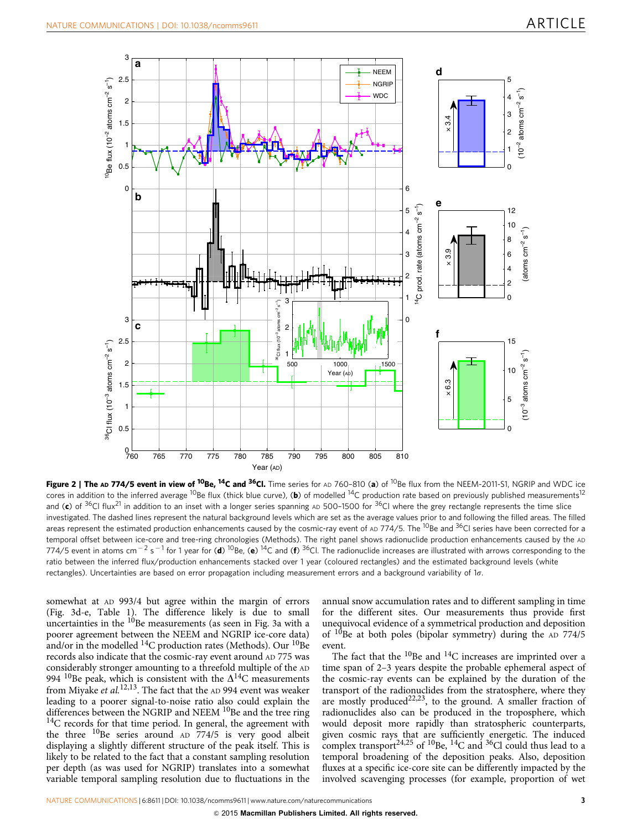<span id="page-3-0"></span>

Figure 2 | The AD 774/5 event in view of <sup>10</sup>Be, <sup>14</sup>C and <sup>36</sup>Cl. Time series for AD 760-810 (a) of <sup>10</sup>Be flux from the NEEM-2011-S1, NGRIP and WDC ice cores in addition to the inferred average <sup>10</sup>Be flux (thick blue curve), (b) of modelled <sup>14</sup>C production rate based on previously published measurements<sup>12</sup> and (c) of <sup>36</sup>Cl flux<sup>[21](#page-8-0)</sup> in addition to an inset with a longer series spanning AD 500-1500 for <sup>36</sup>Cl where the grey rectangle represents the time slice investigated. The dashed lines represent the natural background levels which are set as the average values prior to and following the filled areas. The filled areas represent the estimated production enhancements caused by the cosmic-ray event of  $AD$  774/5. The <sup>10</sup>Be and <sup>36</sup>Cl series have been corrected for a temporal offset between ice-core and tree-ring chronologies (Methods). The right panel shows radionuclide production enhancements caused by the AD 774/5 event in atoms cm<sup>-2</sup> s<sup>-1</sup> for 1 year for (**d**) <sup>10</sup>Be, (e) <sup>14</sup>C and (f) <sup>36</sup>Cl. The radionuclide increases are illustrated with arrows corresponding to the ratio between the inferred flux/production enhancements stacked over 1 year (coloured rectangles) and the estimated background levels (white rectangles). Uncertainties are based on error propagation including measurement errors and a background variability of 1 $\sigma$ .

somewhat at AD 993/4 but agree within the margin of errors ([Fig. 3d-e, Table 1\)](#page-4-0). The difference likely is due to small uncertainties in the <sup>10</sup>Be measurements (as seen in [Fig. 3a](#page-4-0) with a poorer agreement between the NEEM and NGRIP ice-core data) and/or in the modelled  $\rm ^{14}C$  production rates (Methods). Our  $\rm ^{10}Be$ records also indicate that the cosmic-ray event around AD 775 was considerably stronger amounting to a threefold multiple of the AD 994 <sup>10</sup>Be peak, which is consistent with the  $\Delta^{14}$ C measurements from Miyake et  $al$ .<sup>[12,13](#page-7-0)</sup>. The fact that the AD 994 event was weaker leading to a poorer signal-to-noise ratio also could explain the differences between the NGRIP and NEEM  $^{10}$ Be and the tree ring  $^{14}$ C records for that time period. In general, the agreement with the three  $^{10}$ Be series around AD 774/5 is very good albeit displaying a slightly different structure of the peak itself. This is likely to be related to the fact that a constant sampling resolution per depth (as was used for NGRIP) translates into a somewhat variable temporal sampling resolution due to fluctuations in the

annual snow accumulation rates and to different sampling in time for the different sites. Our measurements thus provide first unequivocal evidence of a symmetrical production and deposition of  $10B$ e at both poles (bipolar symmetry) during the AD 774/5 event.

The fact that the  $^{10}$ Be and  $^{14}$ C increases are imprinted over a time span of 2–3 years despite the probable ephemeral aspect of the cosmic-ray events can be explained by the duration of the transport of the radionuclides from the stratosphere, where they are mostly produced<sup>22,23</sup>, to the ground. A smaller fraction of radionuclides also can be produced in the troposphere, which would deposit more rapidly than stratospheric counterparts, given cosmic rays that are sufficiently energetic. The induced complex transport<sup>[24,25](#page-8-0)</sup> of <sup>10</sup>Be, <sup>14</sup>C and <sup>36</sup>Cl could thus lead to a temporal broadening of the deposition peaks. Also, deposition fluxes at a specific ice-core site can be differently impacted by the involved scavenging processes (for example, proportion of wet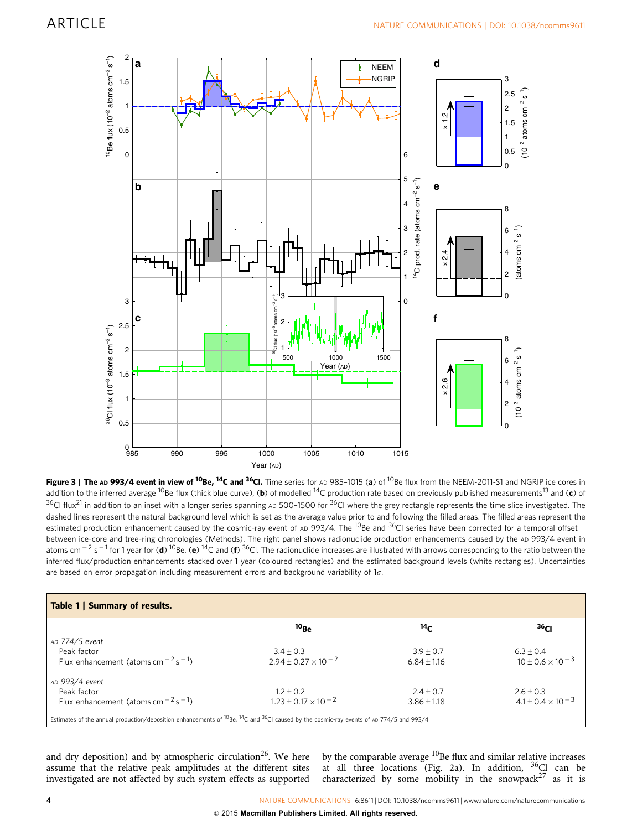<span id="page-4-0"></span>

Figure 3 | The AD 993/4 event in view of <sup>10</sup>Be, <sup>14</sup>C and <sup>36</sup>Cl. Time series for AD 985-1015 (a) of <sup>10</sup>Be flux from the NEEM-2011-S1 and NGRIP ice cores in addition to the inferred average <sup>10</sup>Be flux (thick blue curve), (b) of modelled <sup>14</sup>C production rate based on previously published measurements<sup>13</sup> and (c) of  $36$ Cl flux<sup>[21](#page-8-0)</sup> in addition to an inset with a longer series spanning AD 500-1500 for  $36$ Cl where the grey rectangle represents the time slice investigated. The dashed lines represent the natural background level which is set as the average value prior to and following the filled areas. The filled areas represent the estimated production enhancement caused by the cosmic-ray event of AD 993/4. The <sup>10</sup>Be and <sup>36</sup>Cl series have been corrected for a temporal offset between ice-core and tree-ring chronologies (Methods). The right panel shows radionuclide production enhancements caused by the AD 993/4 event in atoms cm<sup>-2</sup> s<sup>-1</sup> for 1 year for (d) <sup>10</sup>Be, (e) <sup>14</sup>C and (f) <sup>36</sup>Cl. The radionuclide increases are illustrated with arrows corresponding to the ratio between the inferred flux/production enhancements stacked over 1 year (coloured rectangles) and the estimated background levels (white rectangles). Uncertainties are based on error propagation including measurement errors and background variability of  $1\sigma$ .

| Table 1   Summary of results.                              |                                |                 |                              |  |
|------------------------------------------------------------|--------------------------------|-----------------|------------------------------|--|
|                                                            | $10_{\text{Be}}$               | 14 $\epsilon$   | ו 36                         |  |
| AD 774/5 event                                             |                                |                 |                              |  |
| Peak factor                                                | $3.4 \pm 0.3$                  | $3.9 \pm 0.7$   | $6.3 \pm 0.4$                |  |
| Flux enhancement (atoms cm <sup>-2</sup> s <sup>-1</sup> ) | $2.94 \pm 0.27 \times 10^{-2}$ | $6.84 + 1.16$   | $10 \pm 0.6 \times 10^{-3}$  |  |
| AD 993/4 event                                             |                                |                 |                              |  |
| Peak factor                                                | $1.2 \pm 0.2$                  | $2.4 \pm 0.7$   | $2.6 \pm 0.3$                |  |
| Flux enhancement (atoms cm <sup>-2</sup> s <sup>-1</sup> ) | $1.23 \pm 0.17 \times 10^{-2}$ | $3.86 \pm 1.18$ | $4.1 \pm 0.4 \times 10^{-3}$ |  |

and dry deposition) and by atmospheric circulation<sup>26</sup>. We here assume that the relative peak amplitudes at the different sites investigated are not affected by such system effects as supported by the comparable average  $^{10}$ Be flux and similar relative increases at all three locations [\(Fig. 2a](#page-3-0)). In addition,  $36$ Cl can be characterized by some mobility in the snowpack $27$  as it is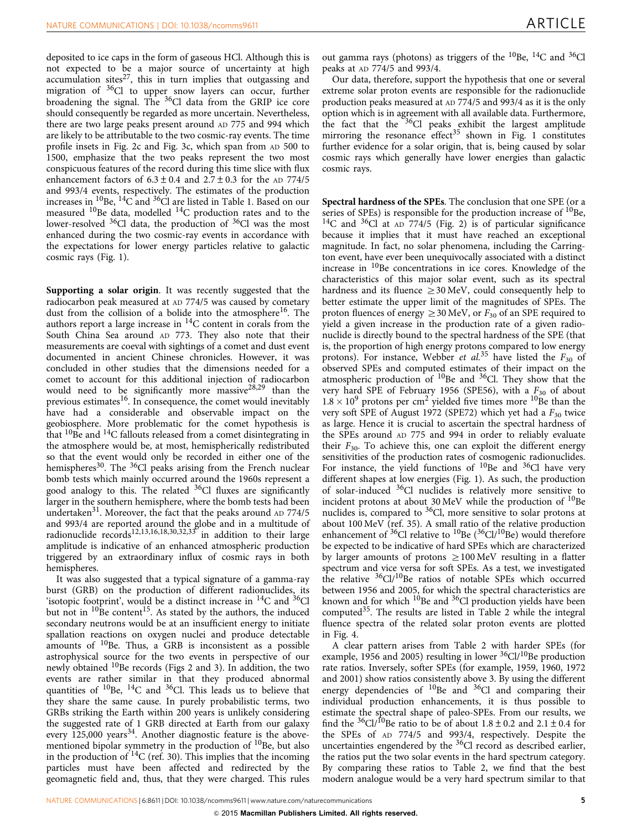deposited to ice caps in the form of gaseous HCl. Although this is not expected to be a major source of uncertainty at high accumulation sites $^{27}$ , this in turn implies that outgassing and migration of <sup>36</sup>Cl to upper snow layers can occur, further broadening the signal. The  $36$ Cl data from the GRIP ice core should consequently be regarded as more uncertain. Nevertheless, there are two large peaks present around AD 775 and 994 which are likely to be attributable to the two cosmic-ray events. The time profile insets in [Fig. 2c](#page-3-0) and [Fig. 3c](#page-4-0), which span from AD 500 to 1500, emphasize that the two peaks represent the two most conspicuous features of the record during this time slice with flux enhancement factors of  $6.3 \pm 0.4$  and  $2.7 \pm 0.3$  for the AD 774/5 and 993/4 events, respectively. The estimates of the production increases in <sup>10</sup>Be, <sup>14</sup>C and <sup>36</sup>Cl are listed in [Table 1](#page-4-0). Based on our measured  $^{10}$ Be data, modelled  $^{14}$ C production rates and to the lower-resolved <sup>36</sup>Cl data, the production of <sup>36</sup>Cl was the most enhanced during the two cosmic-ray events in accordance with the expectations for lower energy particles relative to galactic cosmic rays ([Fig. 1](#page-2-0)).

Supporting a solar origin. It was recently suggested that the radiocarbon peak measured at AD 774/5 was caused by cometary dust from the collision of a bolide into the atmosphere<sup>16</sup>. The authors report a large increase in  ${}^{14}$ C content in corals from the South China Sea around AD 773. They also note that their measurements are coeval with sightings of a comet and dust event documented in ancient Chinese chronicles. However, it was concluded in other studies that the dimensions needed for a comet to account for this additional injection of radiocarbon would need to be significantly more massive[28,29](#page-8-0) than the previous estimates<sup>16</sup>. In consequence, the comet would inevitably have had a considerable and observable impact on the geobiosphere. More problematic for the comet hypothesis is that  ${}^{10}$ Be and  ${}^{14}$ C fallouts released from a comet disintegrating in the atmosphere would be, at most, hemispherically redistributed so that the event would only be recorded in either one of the hemispheres<sup>[30](#page-8-0)</sup>. The <sup>36</sup>Cl peaks arising from the French nuclear bomb tests which mainly occurred around the 1960s represent a good analogy to this. The related  $36$ Cl fluxes are significantly larger in the southern hemisphere, where the bomb tests had been undertaken<sup>31</sup>. Moreover, the fact that the peaks around AD 774/5 and 993/4 are reported around the globe and in a multitude of radionuclide records<sup>[12,13,16,18,30,32,33](#page-7-0)</sup> in addition to their large amplitude is indicative of an enhanced atmospheric production triggered by an extraordinary influx of cosmic rays in both hemispheres.

It was also suggested that a typical signature of a gamma-ray burst (GRB) on the production of different radionuclides, its 'isotopic footprint', would be a distinct increase in <sup>14</sup>C and <sup>36</sup>Cl but not in  $^{10}$ Be content<sup>15</sup>. As stated by the authors, the induced secondary neutrons would be at an insufficient energy to initiate spallation reactions on oxygen nuclei and produce detectable amounts of  $^{10}$ Be. Thus, a GRB is inconsistent as a possible astrophysical source for the two events in perspective of our newly obtained <sup>10</sup>Be records ([Figs 2 and 3](#page-3-0)). In addition, the two events are rather similar in that they produced abnormal quantities of  $^{10}$ Be,  $^{14}$ C and  $^{36}$ Cl. This leads us to believe that they share the same cause. In purely probabilistic terms, two GRBs striking the Earth within 200 years is unlikely considering the suggested rate of 1 GRB directed at Earth from our galaxy every 125,000 years<sup>[34](#page-8-0)</sup>. Another diagnostic feature is the abovementioned bipolar symmetry in the production of <sup>10</sup>Be, but also in the production of  ${}^{14}C$  ([ref. 30](#page-8-0)). This implies that the incoming particles must have been affected and redirected by the geomagnetic field and, thus, that they were charged. This rules

out gamma rays (photons) as triggers of the  $^{10}$ Be,  $^{14}$ C and  $^{36}$ Cl peaks at AD 774/5 and 993/4.

Our data, therefore, support the hypothesis that one or several extreme solar proton events are responsible for the radionuclide production peaks measured at AD 774/5 and 993/4 as it is the only option which is in agreement with all available data. Furthermore, the fact that the <sup>36</sup>Cl peaks exhibit the largest amplitude mirroring the resonance effect<sup>[35](#page-8-0)</sup> shown in [Fig. 1](#page-2-0) constitutes further evidence for a solar origin, that is, being caused by solar cosmic rays which generally have lower energies than galactic cosmic rays.

Spectral hardness of the SPEs. The conclusion that one SPE (or a series of SPEs) is responsible for the production increase of  $^{10}$ Be,  $14C$  and  $36Cl$  at AD 774/5 [\(Fig. 2\)](#page-3-0) is of particular significance because it implies that it must have reached an exceptional magnitude. In fact, no solar phenomena, including the Carrington event, have ever been unequivocally associated with a distinct increase in 10Be concentrations in ice cores. Knowledge of the characteristics of this major solar event, such as its spectral hardness and its fluence  $\geq$  30 MeV, could consequently help to better estimate the upper limit of the magnitudes of SPEs. The proton fluences of energy  $\geq$  30 MeV, or  $F_{30}$  of an SPE required to yield a given increase in the production rate of a given radionuclide is directly bound to the spectral hardness of the SPE (that is, the proportion of high energy protons compared to low energy protons). For instance, Webber et al.<sup>[35](#page-8-0)</sup> have listed the  $F_{30}$  of observed SPEs and computed estimates of their impact on the atmospheric production of  $10B$ e and  $36C$ . They show that the very hard SPE of February 1956 (SPE56), with a  $F_{30}$  of about  $1.8 \times 10^9$  protons per cm<sup>2</sup> yielded five times more <sup>10</sup>Be than the very soft SPE of August 1972 (SPE72) which yet had a  $F_{30}$  twice as large. Hence it is crucial to ascertain the spectral hardness of the SPEs around AD 775 and 994 in order to reliably evaluate their  $F_{30}$ . To achieve this, one can exploit the different energy sensitivities of the production rates of cosmogenic radionuclides. For instance, the yield functions of  $^{10}$ Be and  $^{36}$ Cl have very different shapes at low energies ([Fig. 1](#page-2-0)). As such, the production of solar-induced 36Cl nuclides is relatively more sensitive to incident protons at about 30 MeV while the production of  $^{10}$ Be nuclides is, compared to <sup>36</sup>Cl, more sensitive to solar protons at about 100 MeV [\(ref. 35\)](#page-8-0). A small ratio of the relative production enhancement of  $36$ Cl relative to  $10$ Be ( $36$ Cl/ $10$ Be) would therefore be expected to be indicative of hard SPEs which are characterized by larger amounts of protons  $\geq 100$  MeV resulting in a flatter spectrum and vice versa for soft SPEs. As a test, we investigated the relative <sup>36</sup>Cl/<sup>10</sup>Be ratios of notable SPEs which occurred between 1956 and 2005, for which the spectral characteristics are known and for which  $^{10}$ Be and  $^{36}$ Cl production yields have been computed[35.](#page-8-0) The results are listed in [Table 2](#page-6-0) while the integral fluence spectra of the related solar proton events are plotted in [Fig. 4.](#page-6-0)

A clear pattern arises from [Table 2](#page-6-0) with harder SPEs (for example, 1956 and 2005) resulting in lower  ${}^{36}$ Cl/ ${}^{10}$ Be production rate ratios. Inversely, softer SPEs (for example, 1959, 1960, 1972 and 2001) show ratios consistently above 3. By using the different energy dependencies of  $^{10}$ Be and  $^{36}$ Cl and comparing their individual production enhancements, it is thus possible to estimate the spectral shape of paleo-SPEs. From our results, we find the <sup>36</sup>Cl/<sup>10</sup>Be ratio to be of about  $1.8 \pm 0.2$  and  $2.1 \pm 0.4$  for the SPEs of AD 774/5 and 993/4, respectively. Despite the uncertainties engendered by the 36Cl record as described earlier, the ratios put the two solar events in the hard spectrum category. By comparing these ratios to [Table 2,](#page-6-0) we find that the best modern analogue would be a very hard spectrum similar to that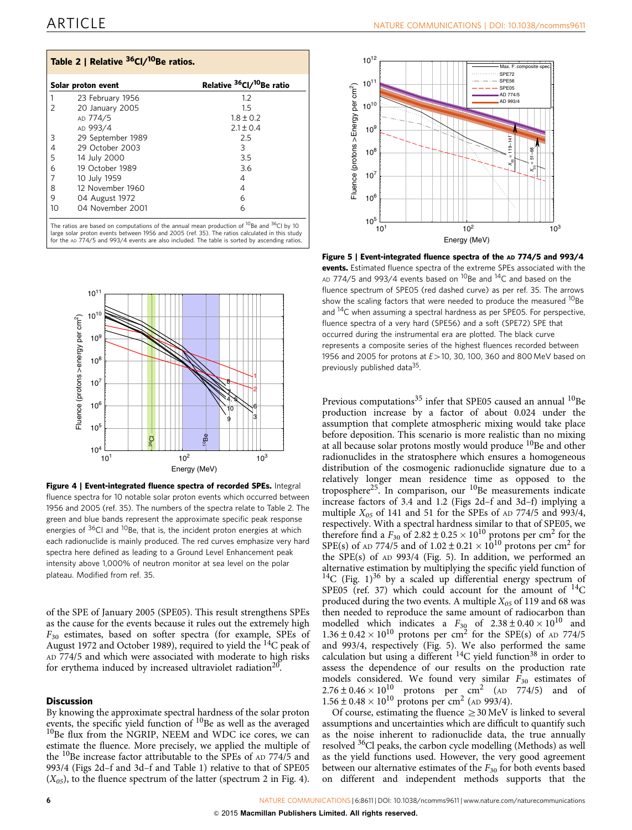<span id="page-6-0"></span>

| Table 2   Relative <sup>36</sup> Cl/ <sup>10</sup> Be ratios. |                    |                                                   |  |
|---------------------------------------------------------------|--------------------|---------------------------------------------------|--|
|                                                               | Solar proton event | Relative <sup>36</sup> Cl/ <sup>10</sup> Be ratio |  |
|                                                               | 23 February 1956   | 1.2                                               |  |
| 2                                                             | 20 January 2005    | 15                                                |  |
|                                                               | AD 774/5           | $1.8 \pm 0.2$                                     |  |
|                                                               | AD 993/4           | $2.1 \pm 0.4$                                     |  |
| 3                                                             | 29 September 1989  | 2.5                                               |  |
| 4                                                             | 29 October 2003    | 3                                                 |  |
| 5                                                             | 14 July 2000       | 3.5                                               |  |
| 6                                                             | 19 October 1989    | 3.6                                               |  |
|                                                               | 10 July 1959       | 4                                                 |  |
| 8                                                             | 12 November 1960   | 4                                                 |  |
| 9                                                             | 04 August 1972     | 6                                                 |  |
| 10                                                            | 04 November 2001   | 6                                                 |  |

The ratios are based on computations of the annual mean production of <sup>10</sup>Be and <sup>36</sup>Cl by 10<br>large solar proton events between 1956 and 2005 [\(ref. 35](#page-8-0)). The ratios calculated in this study for the AD 774/5 and 993/4 events are also included. The table is sorted by ascending ratios.



Figure 4 | Event-integrated fluence spectra of recorded SPEs. Integral fluence spectra for 10 notable solar proton events which occurred between 1956 and 2005 ([ref. 35\)](#page-8-0). The numbers of the spectra relate to Table 2. The green and blue bands represent the approximate specific peak response energies of  $36$ Cl and  $10$ Be, that is, the incident proton energies at which each radionuclide is mainly produced. The red curves emphasize very hard spectra here defined as leading to a Ground Level Enhancement peak intensity above 1,000% of neutron monitor at sea level on the polar plateau. Modified from [ref. 35.](#page-8-0)

of the SPE of January 2005 (SPE05). This result strengthens SPEs as the cause for the events because it rules out the extremely high  $F_{30}$  estimates, based on softer spectra (for example, SPEs of August 1972 and October 1989), required to yield the  $^{14}$ C peak of AD 774/5 and which were associated with moderate to high risks for erythema induced by increased ultraviolet radiation<sup>20</sup>.

#### **Discussion**

By knowing the approximate spectral hardness of the solar proton events, the specific yield function of  $^{10}$ Be as well as the averaged  $10$ Be flux from the NGRIP, NEEM and WDC ice cores, we can estimate the fluence. More precisely, we applied the multiple of the <sup>10</sup>Be increase factor attributable to the SPEs of AD 774/5 and 993/4 ([Figs 2d–f and 3d–f](#page-3-0) and [Table 1\)](#page-4-0) relative to that of SPE05  $(X_{05})$ , to the fluence spectrum of the latter (spectrum 2 in Fig. 4).



Figure 5 | Event-integrated fluence spectra of the AD 774/5 and 993/4 events. Estimated fluence spectra of the extreme SPEs associated with the AD 774/5 and 993/4 events based on <sup>10</sup>Be and <sup>14</sup>C and based on the fluence spectrum of SPE05 (red dashed curve) as per [ref. 35](#page-8-0). The arrows show the scaling factors that were needed to produce the measured <sup>10</sup>Be and <sup>14</sup>C when assuming a spectral hardness as per SPE05. For perspective, fluence spectra of a very hard (SPE56) and a soft (SPE72) SPE that occurred during the instrumental era are plotted. The black curve represents a composite series of the highest fluences recorded between 1956 and 2005 for protons at  $E>10$ , 30, 100, 360 and 800 MeV based on previously published data<sup>35</sup>.

Previous computations<sup>[35](#page-8-0)</sup> infer that SPE05 caused an annual  $^{10}$ Be production increase by a factor of about 0.024 under the assumption that complete atmospheric mixing would take place before deposition. This scenario is more realistic than no mixing at all because solar protons mostly would produce <sup>10</sup>Be and other radionuclides in the stratosphere which ensures a homogeneous distribution of the cosmogenic radionuclide signature due to a relatively longer mean residence time as opposed to the troposphere<sup>[25](#page-8-0)</sup>. In comparison, our  $10Be$  measurements indicate increase factors of 3.4 and 1.2 ([Figs 2d–f and 3d–f](#page-3-0)) implying a multiple  $X_{05}$  of 141 and 51 for the SPEs of AD 774/5 and 993/4, respectively. With a spectral hardness similar to that of SPE05, we therefore find a  $F_{30}$  of 2.82 ± 0.25 × 10<sup>10</sup> protons per cm<sup>2</sup> for the SPE(s) of AD 774/5 and of  $1.02 \pm 0.21 \times 10^{10}$  protons per cm<sup>2</sup> for the SPE(s) of AD 993/4 (Fig. 5). In addition, we performed an alternative estimation by multiplying the specific yield function of  $14C$  [\(Fig. 1](#page-2-0))<sup>36</sup> by a scaled up differential energy spectrum of SPE05 ([ref. 37](#page-8-0)) which could account for the amount of <sup>14</sup>C produced during the two events. A multiple  $X_{0.5}$  of 119 and 68 was then needed to reproduce the same amount of radiocarbon than modelled which indicates a  $F_{30}$  of  $2.38 \pm 0.40 \times 10^{10}$  and  $1.36 \pm 0.42 \times 10^{10}$  protons per cm<sup>2</sup> for the SPE(s) of AD 774/5 and 993/4, respectively (Fig. 5). We also performed the same calculation but using a different  ${}^{14}C$  yield function<sup>38</sup> in order to assess the dependence of our results on the production rate models considered. We found very similar  $\bar{F}_{30}$  estimates of  $2.76 \pm 0.46 \times 10^{10}$  protons per cm<sup>2</sup> (AD 774/5) and of  $1.56 \pm 0.48 \times 10^{10}$  protons per cm<sup>2</sup> (AD 993/4).

Of course, estimating the fluence  $\geq$  30 MeV is linked to several assumptions and uncertainties which are difficult to quantify such as the noise inherent to radionuclide data, the true annually resolved 36Cl peaks, the carbon cycle modelling (Methods) as well as the yield functions used. However, the very good agreement between our alternative estimates of the  $F_{30}$  for both events based on different and independent methods supports that the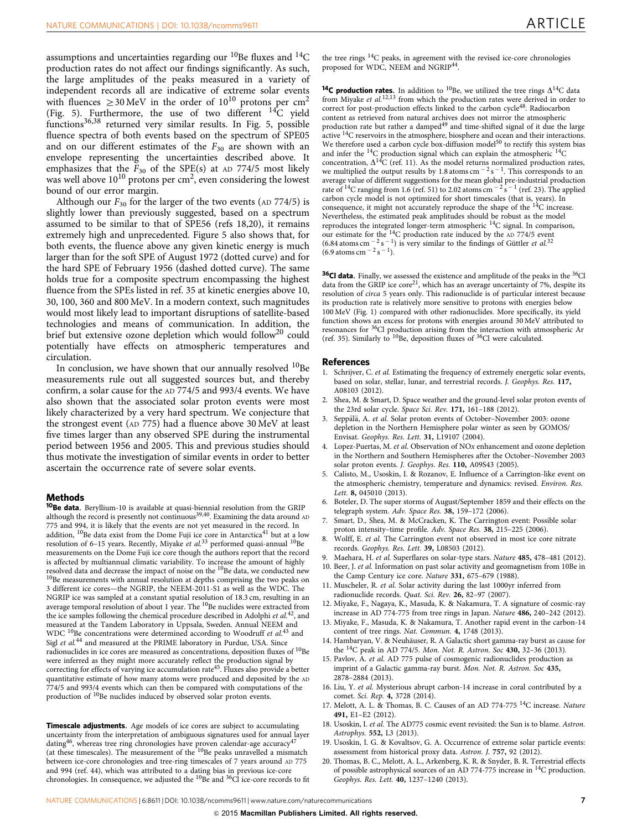<span id="page-7-0"></span>assumptions and uncertainties regarding our  $^{10}$ Be fluxes and  $^{14}$ C production rates do not affect our findings significantly. As such, the large amplitudes of the peaks measured in a variety of independent records all are indicative of extreme solar events with fluences  $>$  30 MeV in the order of 10<sup>10</sup> protons per cm<sup>2</sup> ([Fig. 5](#page-6-0)). Furthermore, the use of two different  $^{14}C$  yield functions[36,38](#page-8-0) returned very similar results. In [Fig. 5,](#page-6-0) possible fluence spectra of both events based on the spectrum of SPE05 and on our different estimates of the  $F_{30}$  are shown with an envelope representing the uncertainties described above. It emphasizes that the  $F_{30}$  of the SPE(s) at AD 774/5 most likely was well above  $10^{10}$  protons per cm<sup>2</sup>, even considering the lowest bound of our error margin.

Although our  $F_{30}$  for the larger of the two events (AD 774/5) is slightly lower than previously suggested, based on a spectrum assumed to be similar to that of SPE56 (refs 18,20), it remains extremely high and unprecedented. [Figure 5](#page-6-0) also shows that, for both events, the fluence above any given kinetic energy is much larger than for the soft SPE of August 1972 (dotted curve) and for the hard SPE of February 1956 (dashed dotted curve). The same holds true for a composite spectrum encompassing the highest fluence from the SPEs listed in [ref. 35](#page-8-0) at kinetic energies above 10, 30, 100, 360 and 800 MeV. In a modern context, such magnitudes would most likely lead to important disruptions of satellite-based technologies and means of communication. In addition, the brief but extensive ozone depletion which would follow<sup>20</sup> could potentially have effects on atmospheric temperatures and circulation.

In conclusion, we have shown that our annually resolved  $^{10}$ Be measurements rule out all suggested sources but, and thereby confirm, a solar cause for the AD 774/5 and 993/4 events. We have also shown that the associated solar proton events were most likely characterized by a very hard spectrum. We conjecture that the strongest event (AD 775) had a fluence above 30 MeV at least five times larger than any observed SPE during the instrumental period between 1956 and 2005. This and previous studies should thus motivate the investigation of similar events in order to better ascertain the occurrence rate of severe solar events.

#### Methods

10Be data. Beryllium-10 is available at quasi-biennial resolution from the GRIP although the record is presently not continuous<sup>39,40</sup>. Examining the data around AD 775 and 994, it is likely that the events are not yet measured in the record. In addition, <sup>10</sup>Be data exist from the Dome Fuji ice core in Antarctica<sup>41</sup> but at a low resolution of 6–15 years. Recently, Miyake et al.<sup>[33](#page-8-0)</sup> performed quasi-annual <sup>10</sup>Be measurements on the Dome Fuji ice core though the authors report that the record is affected by multiannual climatic variability. To increase the amount of highly resolved data and decrease the impact of noise on the  ${}^{10}$ Be data, we conducted new <sup>10</sup>Be measurements with annual resolution at depths comprising the two peaks on 3 different ice cores—the NGRIP, the NEEM-2011-S1 as well as the WDC. The NGRIP ice was sampled at a constant spatial resolution of 18.3 cm, resulting in an average temporal resolution of about 1 year. The <sup>10</sup>Be nuclides were extracted from the ice samples following the chemical procedure described in Adolphi et al.<sup>42</sup>, and measured at the Tandem Laboratory in Uppsala, Sweden. Annual NEEM and WDC <sup>10</sup>Be concentrations were determined according to Woodruff et al.<sup>[43](#page-8-0)</sup> and Sigl et al.[44](#page-8-0) and measured at the PRIME laboratory in Purdue, USA. Since radionuclides in ice cores are measured as concentrations, deposition fluxes of  $^{10}\mathrm{Be}$ were inferred as they might more accurately reflect the production signal by correcting for effects of varying ice accumulation rate<sup>[45](#page-8-0)</sup>. Fluxes also provide a better quantitative estimate of how many atoms were produced and deposited by the AD 774/5 and 993/4 events which can then be compared with computations of the production of <sup>10</sup>Be nuclides induced by observed solar proton events.

Timescale adjustments. Age models of ice cores are subject to accumulating uncertainty from the interpretation of ambiguous signatures used for annual layer dating<sup>[46](#page-8-0)</sup>, whereas tree ring chronologies have proven calendar-age accuracy<sup>[47](#page-8-0)</sup> (at these timescales). The measurement of the <sup>10</sup>Be peaks unravelled a mismatch between ice-core chronologies and tree-ring timescales of 7 years around AD 775 and 994 [\(ref. 44](#page-8-0)), which was attributed to a dating bias in previous ice-core<br>chronologies. In consequence, we adjusted the <sup>10</sup>Be and <sup>36</sup>Cl ice-core records to fit

the tree rings  ${}^{14}C$  peaks, in agreement with the revised ice-core chronologies proposed for WDC, NEEM and NGRIP<sup>[44](#page-8-0)</sup>.

<sup>14</sup>C production rates. In addition to <sup>10</sup>Be, we utilized the tree rings  $\Delta^{14}C$  data from Miyake et  $al$ .<sup>12,13</sup> from which the production rates were derived in order to correct for post-production effects linked to the carbon cycle<sup>[48](#page-8-0)</sup>. Radiocarbon content as retrieved from natural archives does not mirror the atmospheric production rate but rather a damped<sup>[49](#page-8-0)</sup> and time-shifted signal of it due the large active 14C reservoirs in the atmosphere, biosphere and ocean and their interactions. We therefore used a carbon cycle box-diffusion model<sup>50</sup> to rectify this system bias and infer the  $^{14}$ C production signal which can explain the atmospheric  $^{14}$ C concentration,  $\Delta^{14}C$  (ref. 11). As the model returns normalized production rates, we multiplied the output results by 1.8 atoms cm<sup> $-2$ </sup>s<sup> $-1$ </sup>. This corresponds to an average value of different suggestions for the mean global pre-industrial production rate of <sup>14</sup>C ranging from 1.6 [\(ref. 51](#page-8-0)) to 2.02 atoms cm<sup>-2</sup>s<sup>-1</sup> ([ref. 23](#page-8-0)). The applied carbon cycle model is not optimized for short timescales (that is, years). In consequence, it might not accurately reproduce the shape of the 14C increase. Nevertheless, the estimated peak amplitudes should be robust as the model reproduces the integrated longer-term atmospheric 14C signal. In comparison, our estimate for the <sup>14</sup>C production rate induced by the AD 774/5 event  $(6.84 \text{ atoms cm}^{-2} \text{ s}^{-1})$  is very similar to the findings of Güttler *et al.*<sup>[32](#page-8-0)</sup>  $(6.9 \text{ atoms cm}^{-2} \text{ s}^{-1}).$ 

<sup>36</sup>Cl data. Finally, we assessed the existence and amplitude of the peaks in the <sup>36</sup>Cl data from the GRIP ice  $core^{21}$  $core^{21}$  $core^{21}$ , which has an average uncertainty of 7%, despite its resolution of circa 5 years only. This radionuclide is of particular interest because its production rate is relatively more sensitive to protons with energies below 100 MeV ([Fig. 1\)](#page-2-0) compared with other radionuclides. More specifically, its yield function shows an excess for protons with energies around 30 MeV attributed to resonances for 36Cl production arising from the interaction with atmospheric Ar [\(ref. 35](#page-8-0)). Similarly to <sup>10</sup>Be, deposition fluxes of <sup>36</sup>Cl were calculated.

#### References

- 1. Schrijver, C. et al. Estimating the frequency of extremely energetic solar events, based on solar, stellar, lunar, and terrestrial records. J. Geophys. Res. 117, A08103 (2012).
- 2. Shea, M. & Smart, D. Space weather and the ground-level solar proton events of the 23rd solar cycle. Space Sci. Rev. 171, 161–188 (2012).
- Seppala, A. et al. Solar proton events of October-November 2003: ozone depletion in the Northern Hemisphere polar winter as seen by GOMOS/ Envisat. Geophys. Res. Lett. 31, L19107 (2004).
- 4. Lopez-Puertas, M. et al. Observation of NOx enhancement and ozone depletion in the Northern and Southern Hemispheres after the October–November 2003 solar proton events. J. Geophys. Res. 110, A09S43 (2005).
- 5. Calisto, M., Usoskin, I. & Rozanov, E. Influence of a Carrington-like event on the atmospheric chemistry, temperature and dynamics: revised. Environ. Res. Lett. 8, 045010 (2013).
- Boteler, D. The super storms of August/September 1859 and their effects on the telegraph system. Adv. Space Res. 38, 159–172 (2006).
- Smart, D., Shea, M. & McCracken, K. The Carrington event: Possible solar proton intensity-time profile. Adv. Space Res. 38, 215-225 (2006).
- 8. Wolff, E. et al. The Carrington event not observed in most ice core nitrate records. Geophys. Res. Lett. 39, L08503 (2012).
- 9. Maehara, H. et al. Superflares on solar-type stars. Nature 485, 478-481 (2012). 10. Beer, J. et al. Information on past solar activity and geomagnetism from 10Be in the Camp Century ice core. Nature 331, 675–679 (1988).
- 11. Muscheler, R. et al. Solar activity during the last 1000yr inferred from radionuclide records. Quat. Sci. Rev. 26, 82–97 (2007).
- 12. Miyake, F., Nagaya, K., Masuda, K. & Nakamura, T. A signature of cosmic-ray increase in AD 774-775 from tree rings in Japan. Nature 486, 240–242 (2012).
- 13. Miyake, F., Masuda, K. & Nakamura, T. Another rapid event in the carbon-14 content of tree rings. Nat. Commun. 4, 1748 (2013).
- 14. Hambaryan, V. & Neuhäuser, R. A Galactic short gamma-ray burst as cause for the 14C peak in AD 774/5. Mon. Not. R. Astron. Soc 430, 32–36 (2013).
- 15. Pavlov, A. et al. AD 775 pulse of cosmogenic radionuclides production as imprint of a Galactic gamma-ray burst. Mon. Not. R. Astron. Soc 435, 2878–2884 (2013).
- 16. Liu, Y. et al. Mysterious abrupt carbon-14 increase in coral contributed by a comet. Sci. Rep. 4, 3728 (2014).
- 17. Melott, A. L. & Thomas, B. C. Causes of an AD 774-775 <sup>14</sup>C increase. Nature 491, E1–E2 (2012).
- 18. Usoskin, I. et al. The AD775 cosmic event revisited: the Sun is to blame. Astron. Astrophys. 552, L3 (2013).
- 19. Usoskin, I. G. & Kovaltsov, G. A. Occurrence of extreme solar particle events: assessment from historical proxy data. Astron. J. 757, 92 (2012).
- 20. Thomas, B. C., Melott, A. L., Arkenberg, K. R. & Snyder, B. R. Terrestrial effects of possible astrophysical sources of an AD 774-775 increase in 14C production. Geophys. Res. Lett. 40, 1237–1240 (2013).

NATURE COMMUNICATIONS | 6:8611 | DOI: 10.1038/ncomms9611 | [www.nature.com/naturecommunications](http://www.nature.com/naturecommunications) 7